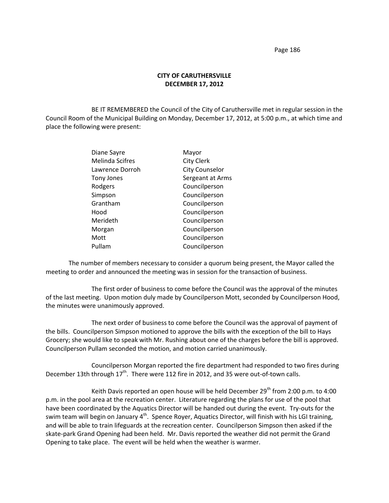Page 186

## **CITY OF CARUTHERSVILLE DECEMBER 17, 2012**

BE IT REMEMBERED the Council of the City of Caruthersville met in regular session in the Council Room of the Municipal Building on Monday, December 17, 2012, at 5:00 p.m., at which time and place the following were present:

| Diane Sayre            | Mayor                 |
|------------------------|-----------------------|
| <b>Melinda Scifres</b> | <b>City Clerk</b>     |
| Lawrence Dorroh        | <b>City Counselor</b> |
| <b>Tony Jones</b>      | Sergeant at Arms      |
| Rodgers                | Councilperson         |
| Simpson                | Councilperson         |
| Grantham               | Councilperson         |
| Hood                   | Councilperson         |
| Merideth               | Councilperson         |
| Morgan                 | Councilperson         |
| Mott                   | Councilperson         |
| Pullam                 | Councilperson         |
|                        |                       |

The number of members necessary to consider a quorum being present, the Mayor called the meeting to order and announced the meeting was in session for the transaction of business.

The first order of business to come before the Council was the approval of the minutes of the last meeting. Upon motion duly made by Councilperson Mott, seconded by Councilperson Hood, the minutes were unanimously approved.

The next order of business to come before the Council was the approval of payment of the bills. Councilperson Simpson motioned to approve the bills with the exception of the bill to Hays Grocery; she would like to speak with Mr. Rushing about one of the charges before the bill is approved. Councilperson Pullam seconded the motion, and motion carried unanimously.

Councilperson Morgan reported the fire department had responded to two fires during December 13th through  $17<sup>th</sup>$ . There were 112 fire in 2012, and 35 were out-of-town calls.

Keith Davis reported an open house will be held December 29<sup>th</sup> from 2:00 p.m. to 4:00 p.m. in the pool area at the recreation center. Literature regarding the plans for use of the pool that have been coordinated by the Aquatics Director will be handed out during the event. Try-outs for the swim team will begin on January 4<sup>th</sup>. Spence Royer, Aquatics Director, will finish with his LGI training, and will be able to train lifeguards at the recreation center. Councilperson Simpson then asked if the skate-park Grand Opening had been held. Mr. Davis reported the weather did not permit the Grand Opening to take place. The event will be held when the weather is warmer.